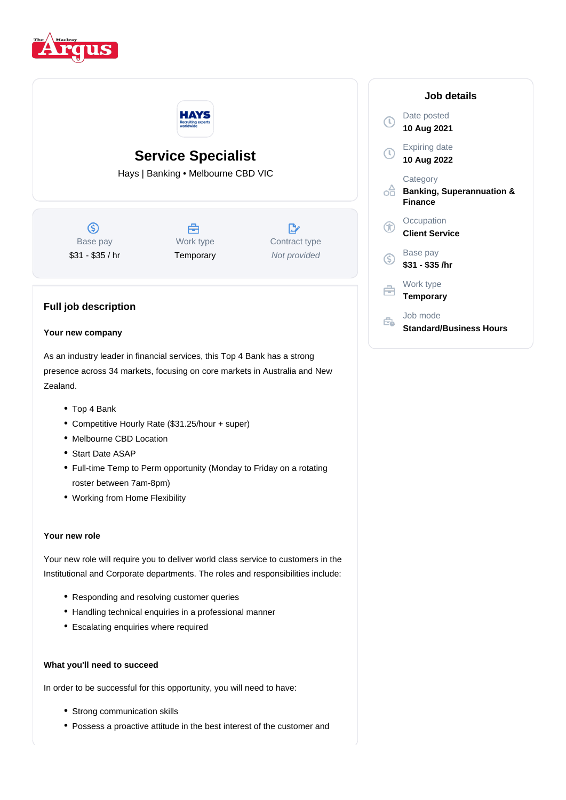



## **Service Specialist**

Hays | Banking • Melbourne CBD VIC

 $\circledS$ Base pay \$31 - \$35 / hr



 $\mathbb{R}^n$ Contract type Not provided

# б Base pay Ğ É

### **Full job description**

#### **Your new company**

As an industry leader in financial services, this Top 4 Bank has a strong presence across 34 markets, focusing on core markets in Australia and New Zealand.

- Top 4 Bank
- Competitive Hourly Rate (\$31.25/hour + super)
- Melbourne CBD Location
- Start Date ASAP
- Full-time Temp to Perm opportunity (Monday to Friday on a rotating roster between 7am-8pm)
- Working from Home Flexibility

#### **Your new role**

Your new role will require you to deliver world class service to customers in the Institutional and Corporate departments. The roles and responsibilities include:

- Responding and resolving customer queries
- Handling technical enquiries in a professional manner
- Escalating enquiries where required

#### **What you'll need to succeed**

In order to be successful for this opportunity, you will need to have:

- Strong communication skills
- Possess a proactive attitude in the best interest of the customer and

|    | Job details                                                        |
|----|--------------------------------------------------------------------|
|    | Date posted<br>10 Aug 2021                                         |
|    | Expiring date<br>10 Aug 2022                                       |
| ∩Ħ | Category<br><b>Banking, Superannuation &amp;</b><br><b>Finance</b> |
|    | Occupation<br><b>Client Service</b>                                |
|    | Base pay<br>\$31 - \$35 /hr                                        |
|    | Work type<br>Temporary                                             |
|    | Job mode<br><b>Standard/Business Hours</b>                         |